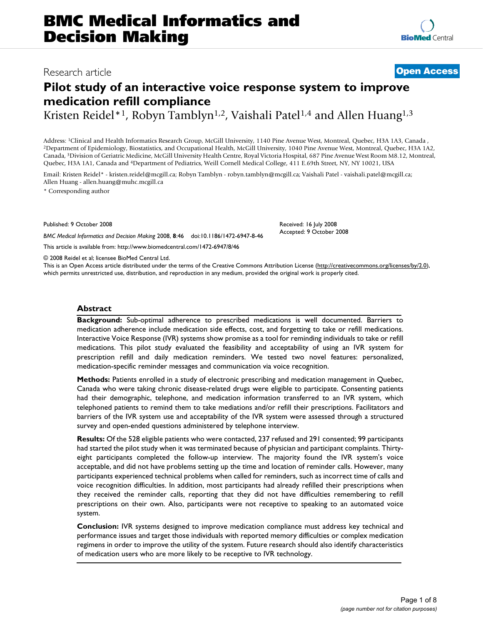# Research article **[Open Access](http://www.biomedcentral.com/info/about/charter/)**

Kristen Reidel\*<sup>1</sup>, Robyn Tamblyn<sup>1,2</sup>, Vaishali Patel<sup>1,4</sup> and Allen Huang<sup>1,3</sup>

Address: <sup>1</sup>Clinical and Health Informatics Research Group, McGill University, 1140 Pine Avenue West, Montreal, Quebec, H3A 1A3, Canada, *2*Department of Epidemiology, Biostatistics, and Occupational Health, McGill Univers Canada, 3Division of Geriatric Medicine, McGill University Health Centre, Royal Victoria Hospital, 687 Pine Avenue West Room M8.12, Montreal, Quebec, H3A 1A1, Canada and 4Department of Pediatrics, Weill Cornell Medical College, 411 E.69th Street, NY, NY 10021, USA

Email: Kristen Reidel\* - kristen.reidel@mcgill.ca; Robyn Tamblyn - robyn.tamblyn@mcgill.ca; Vaishali Patel - vaishali.patel@mcgill.ca; Allen Huang - allen.huang@muhc.mcgill.ca

\* Corresponding author

Published: 9 October 2008

*BMC Medical Informatics and Decision Making* 2008, **8**:46 doi:10.1186/1472-6947-8-46

[This article is available from: http://www.biomedcentral.com/1472-6947/8/46](http://www.biomedcentral.com/1472-6947/8/46)

© 2008 Reidel et al; licensee BioMed Central Ltd.

This is an Open Access article distributed under the terms of the Creative Commons Attribution License [\(http://creativecommons.org/licenses/by/2.0\)](http://creativecommons.org/licenses/by/2.0), which permits unrestricted use, distribution, and reproduction in any medium, provided the original work is properly cited.

#### **Abstract**

**Background:** Sub-optimal adherence to prescribed medications is well documented. Barriers to medication adherence include medication side effects, cost, and forgetting to take or refill medications. Interactive Voice Response (IVR) systems show promise as a tool for reminding individuals to take or refill medications. This pilot study evaluated the feasibility and acceptability of using an IVR system for prescription refill and daily medication reminders. We tested two novel features: personalized, medication-specific reminder messages and communication via voice recognition.

**Methods:** Patients enrolled in a study of electronic prescribing and medication management in Quebec, Canada who were taking chronic disease-related drugs were eligible to participate. Consenting patients had their demographic, telephone, and medication information transferred to an IVR system, which telephoned patients to remind them to take mediations and/or refill their prescriptions. Facilitators and barriers of the IVR system use and acceptability of the IVR system were assessed through a structured survey and open-ended questions administered by telephone interview.

**Results:** Of the 528 eligible patients who were contacted, 237 refused and 291 consented; 99 participants had started the pilot study when it was terminated because of physician and participant complaints. Thirtyeight participants completed the follow-up interview. The majority found the IVR system's voice acceptable, and did not have problems setting up the time and location of reminder calls. However, many participants experienced technical problems when called for reminders, such as incorrect time of calls and voice recognition difficulties. In addition, most participants had already refilled their prescriptions when they received the reminder calls, reporting that they did not have difficulties remembering to refill prescriptions on their own. Also, participants were not receptive to speaking to an automated voice system.

**Conclusion:** IVR systems designed to improve medication compliance must address key technical and performance issues and target those individuals with reported memory difficulties or complex medication regimens in order to improve the utility of the system. Future research should also identify characteristics of medication users who are more likely to be receptive to IVR technology.

Received: 16 July 2008 Accepted: 9 October 2008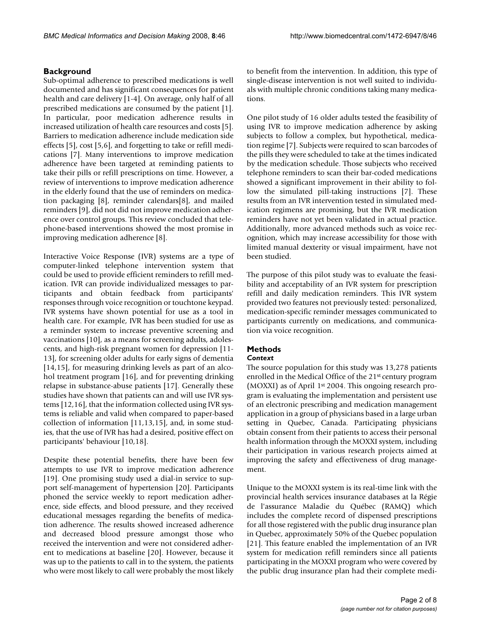# **Background**

Sub-optimal adherence to prescribed medications is well documented and has significant consequences for patient health and care delivery [1-4]. On average, only half of all prescribed medications are consumed by the patient [1]. In particular, poor medication adherence results in increased utilization of health care resources and costs [5]. Barriers to medication adherence include medication side effects [5], cost [5,6], and forgetting to take or refill medications [7]. Many interventions to improve medication adherence have been targeted at reminding patients to take their pills or refill prescriptions on time. However, a review of interventions to improve medication adherence in the elderly found that the use of reminders on medication packaging [8], reminder calendars[8], and mailed reminders [9], did not did not improve medication adherence over control groups. This review concluded that telephone-based interventions showed the most promise in improving medication adherence [8].

Interactive Voice Response (IVR) systems are a type of computer-linked telephone intervention system that could be used to provide efficient reminders to refill medication. IVR can provide individualized messages to participants and obtain feedback from participants' responses through voice recognition or touchtone keypad. IVR systems have shown potential for use as a tool in health care. For example, IVR has been studied for use as a reminder system to increase preventive screening and vaccinations [10], as a means for screening adults, adolescents, and high-risk pregnant women for depression [11- 13], for screening older adults for early signs of dementia [14,15], for measuring drinking levels as part of an alcohol treatment program [16], and for preventing drinking relapse in substance-abuse patients [17]. Generally these studies have shown that patients can and will use IVR systems [12,16], that the information collected using IVR systems is reliable and valid when compared to paper-based collection of information [11,13,15], and, in some studies, that the use of IVR has had a desired, positive effect on participants' behaviour [10,18].

Despite these potential benefits, there have been few attempts to use IVR to improve medication adherence [19]. One promising study used a dial-in service to support self-management of hypertension [20]. Participants phoned the service weekly to report medication adherence, side effects, and blood pressure, and they received educational messages regarding the benefits of medication adherence. The results showed increased adherence and decreased blood pressure amongst those who received the intervention and were not considered adherent to medications at baseline [20]. However, because it was up to the patients to call in to the system, the patients who were most likely to call were probably the most likely to benefit from the intervention. In addition, this type of single-disease intervention is not well suited to individuals with multiple chronic conditions taking many medications.

One pilot study of 16 older adults tested the feasibility of using IVR to improve medication adherence by asking subjects to follow a complex, but hypothetical, medication regime [7]. Subjects were required to scan barcodes of the pills they were scheduled to take at the times indicated by the medication schedule. Those subjects who received telephone reminders to scan their bar-coded medications showed a significant improvement in their ability to follow the simulated pill-taking instructions [7]. These results from an IVR intervention tested in simulated medication regimens are promising, but the IVR medication reminders have not yet been validated in actual practice. Additionally, more advanced methods such as voice recognition, which may increase accessibility for those with limited manual dexterity or visual impairment, have not been studied.

The purpose of this pilot study was to evaluate the feasibility and acceptability of an IVR system for prescription refill and daily medication reminders. This IVR system provided two features not previously tested: personalized, medication-specific reminder messages communicated to participants currently on medications, and communication via voice recognition.

# **Methods**

# *Context*

The source population for this study was 13,278 patients enrolled in the Medical Office of the 21st century program (MOXXI) as of April 1st 2004. This ongoing research program is evaluating the implementation and persistent use of an electronic prescribing and medication management application in a group of physicians based in a large urban setting in Quebec, Canada. Participating physicians obtain consent from their patients to access their personal health information through the MOXXI system, including their participation in various research projects aimed at improving the safety and effectiveness of drug management.

Unique to the MOXXI system is its real-time link with the provincial health services insurance databases at la Régie de l'assurance Maladie du Québec (RAMQ) which includes the complete record of dispensed prescriptions for all those registered with the public drug insurance plan in Quebec, approximately 50% of the Quebec population [21]. This feature enabled the implementation of an IVR system for medication refill reminders since all patients participating in the MOXXI program who were covered by the public drug insurance plan had their complete medi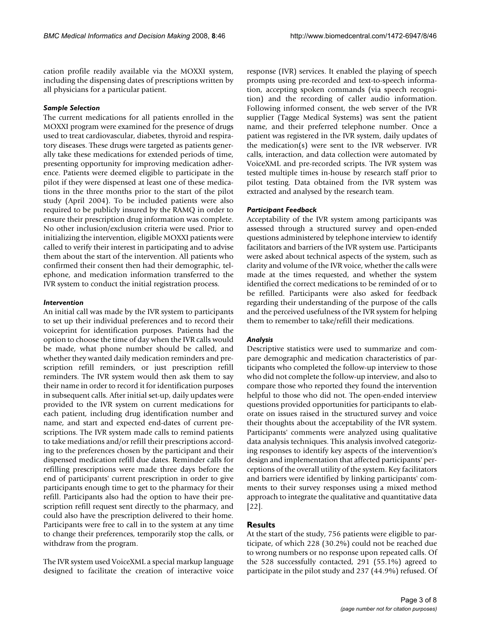cation profile readily available via the MOXXI system, including the dispensing dates of prescriptions written by all physicians for a particular patient.

### *Sample Selection*

The current medications for all patients enrolled in the MOXXI program were examined for the presence of drugs used to treat cardiovascular, diabetes, thyroid and respiratory diseases. These drugs were targeted as patients generally take these medications for extended periods of time, presenting opportunity for improving medication adherence. Patients were deemed eligible to participate in the pilot if they were dispensed at least one of these medications in the three months prior to the start of the pilot study (April 2004). To be included patients were also required to be publicly insured by the RAMQ in order to ensure their prescription drug information was complete. No other inclusion/exclusion criteria were used. Prior to initializing the intervention, eligible MOXXI patients were called to verify their interest in participating and to advise them about the start of the intervention. All patients who confirmed their consent then had their demographic, telephone, and medication information transferred to the IVR system to conduct the initial registration process.

#### *Intervention*

An initial call was made by the IVR system to participants to set up their individual preferences and to record their voiceprint for identification purposes. Patients had the option to choose the time of day when the IVR calls would be made, what phone number should be called, and whether they wanted daily medication reminders and prescription refill reminders, or just prescription refill reminders. The IVR system would then ask them to say their name in order to record it for identification purposes in subsequent calls. After initial set-up, daily updates were provided to the IVR system on current medications for each patient, including drug identification number and name, and start and expected end-dates of current prescriptions. The IVR system made calls to remind patients to take mediations and/or refill their prescriptions according to the preferences chosen by the participant and their dispensed medication refill due dates. Reminder calls for refilling prescriptions were made three days before the end of participants' current prescription in order to give participants enough time to get to the pharmacy for their refill. Participants also had the option to have their prescription refill request sent directly to the pharmacy, and could also have the prescription delivered to their home. Participants were free to call in to the system at any time to change their preferences, temporarily stop the calls, or withdraw from the program.

The IVR system used VoiceXML a special markup language designed to facilitate the creation of interactive voice response (IVR) services. It enabled the playing of speech prompts using pre-recorded and text-to-speech information, accepting spoken commands (via speech recognition) and the recording of caller audio information. Following informed consent, the web server of the IVR supplier (Tagge Medical Systems) was sent the patient name, and their preferred telephone number. Once a patient was registered in the IVR system, daily updates of the medication(s) were sent to the IVR webserver. IVR calls, interaction, and data collection were automated by VoiceXML and pre-recorded scripts. The IVR system was tested multiple times in-house by research staff prior to pilot testing. Data obtained from the IVR system was extracted and analysed by the research team.

## *Participant Feedback*

Acceptability of the IVR system among participants was assessed through a structured survey and open-ended questions administered by telephone interview to identify facilitators and barriers of the IVR system use. Participants were asked about technical aspects of the system, such as clarity and volume of the IVR voice, whether the calls were made at the times requested, and whether the system identified the correct medications to be reminded of or to be refilled. Participants were also asked for feedback regarding their understanding of the purpose of the calls and the perceived usefulness of the IVR system for helping them to remember to take/refill their medications.

#### *Analysis*

Descriptive statistics were used to summarize and compare demographic and medication characteristics of participants who completed the follow-up interview to those who did not complete the follow-up interview, and also to compare those who reported they found the intervention helpful to those who did not. The open-ended interview questions provided opportunities for participants to elaborate on issues raised in the structured survey and voice their thoughts about the acceptability of the IVR system. Participants' comments were analyzed using qualitative data analysis techniques. This analysis involved categorizing responses to identify key aspects of the intervention's design and implementation that affected participants' perceptions of the overall utility of the system. Key facilitators and barriers were identified by linking participants' comments to their survey responses using a mixed method approach to integrate the qualitative and quantitative data [22].

# **Results**

At the start of the study, 756 patients were eligible to participate, of which 228 (30.2%) could not be reached due to wrong numbers or no response upon repeated calls. Of the 528 successfully contacted, 291 (55.1%) agreed to participate in the pilot study and 237 (44.9%) refused. Of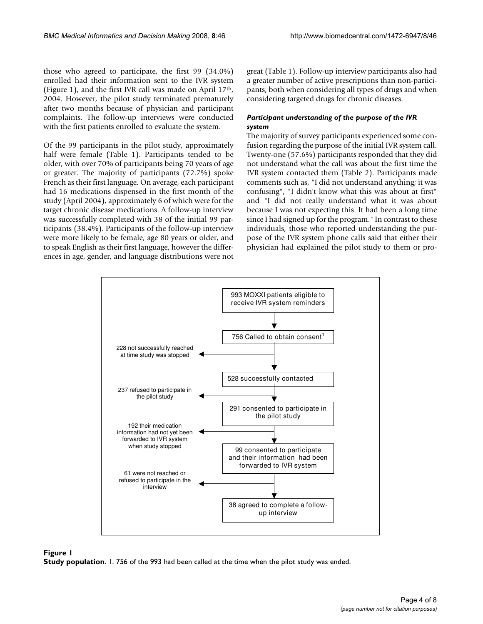those who agreed to participate, the first 99 (34.0%) enrolled had their information sent to the IVR system (Figure 1), and the first IVR call was made on April 17th, 2004. However, the pilot study terminated prematurely after two months because of physician and participant complaints. The follow-up interviews were conducted with the first patients enrolled to evaluate the system.

Of the 99 participants in the pilot study, approximately half were female (Table 1). Participants tended to be older, with over 70% of participants being 70 years of age or greater. The majority of participants (72.7%) spoke French as their first language. On average, each participant had 16 medications dispensed in the first month of the study (April 2004), approximately 6 of which were for the target chronic disease medications. A follow-up interview was successfully completed with 38 of the initial 99 participants (38.4%). Participants of the follow-up interview were more likely to be female, age 80 years or older, and to speak English as their first language, however the differences in age, gender, and language distributions were not great (Table 1). Follow-up interview participants also had a greater number of active prescriptions than non-participants, both when considering all types of drugs and when considering targeted drugs for chronic diseases.

## *Participant understanding of the purpose of the IVR system*

The majority of survey participants experienced some confusion regarding the purpose of the initial IVR system call. Twenty-one (57.6%) participants responded that they did not understand what the call was about the first time the IVR system contacted them (Table 2). Participants made comments such as, "I did not understand anything; it was confusing", "I didn't know what this was about at first" and "I did not really understand what it was about because I was not expecting this. It had been a long time since I had signed up for the program." In contrast to these individuals, those who reported understanding the purpose of the IVR system phone calls said that either their physician had explained the pilot study to them or pro-



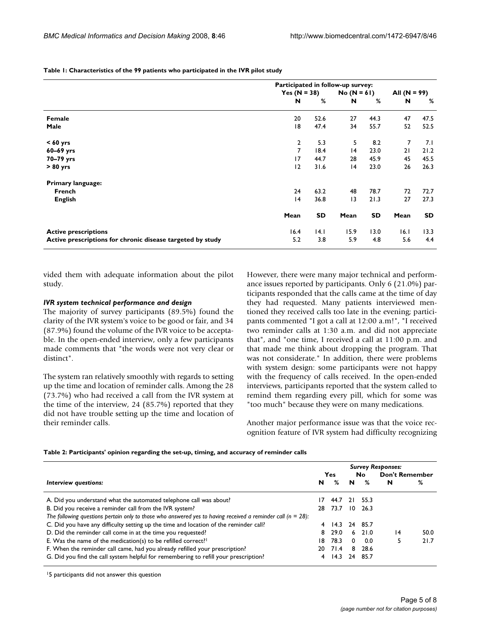**Table 1: Characteristics of the 99 patients who participated in the IVR pilot study**

|                                                            | Participated in follow-up survey: |           |                 |      |                |           |
|------------------------------------------------------------|-----------------------------------|-----------|-----------------|------|----------------|-----------|
|                                                            | Yes ( $N = 38$ )                  |           | $No (N = 61)$   |      | All $(N = 99)$ |           |
|                                                            | N                                 | %         | N               | %    | N              | %         |
| Female                                                     | 20                                | 52.6      | 27              | 44.3 | 47             | 47.5      |
| Male                                                       | 18                                | 47.4      | 34              | 55.7 | 52             | 52.5      |
| $< 60$ yrs                                                 | $\overline{2}$                    | 5.3       | 5               | 8.2  | 7              | 7.1       |
| 60-69 yrs                                                  | 7                                 | 18.4      | $\overline{14}$ | 23.0 | 21             | 21.2      |
| 70-79 yrs                                                  | 17                                | 44.7      | 28              | 45.9 | 45             | 45.5      |
| $> 80$ yrs                                                 | 12                                | 31.6      | 14              | 23.0 | 26             | 26.3      |
| Primary language:                                          |                                   |           |                 |      |                |           |
| French                                                     | 24                                | 63.2      | 48              | 78.7 | 72             | 72.7      |
| <b>English</b>                                             | 4                                 | 36.8      | 13              | 21.3 | 27             | 27.3      |
|                                                            | Mean                              | <b>SD</b> | Mean            | SD   | Mean           | <b>SD</b> |
| <b>Active prescriptions</b>                                | 16.4                              | 14. I     | 15.9            | 13.0 | 16.1           | 13.3      |
| Active prescriptions for chronic disease targeted by study | 5.2                               | 3.8       | 5.9             | 4.8  | 5.6            | 4.4       |

vided them with adequate information about the pilot study.

#### *IVR system technical performance and design*

The majority of survey participants (89.5%) found the clarity of the IVR system's voice to be good or fair, and 34 (87.9%) found the volume of the IVR voice to be acceptable. In the open-ended interview, only a few participants made comments that "the words were not very clear or distinct".

The system ran relatively smoothly with regards to setting up the time and location of reminder calls. Among the 28 (73.7%) who had received a call from the IVR system at the time of the interview, 24 (85.7%) reported that they did not have trouble setting up the time and location of their reminder calls.

However, there were many major technical and performance issues reported by participants. Only 6 (21.0%) participants responded that the calls came at the time of day they had requested. Many patients interviewed mentioned they received calls too late in the evening; participants commented "I got a call at 12:00 a.m!", "I received two reminder calls at 1:30 a.m. and did not appreciate that", and "one time, I received a call at 11:00 p.m. and that made me think about dropping the program. That was not considerate." In addition, there were problems with system design: some participants were not happy with the frequency of calls received. In the open-ended interviews, participants reported that the system called to remind them regarding every pill, which for some was "too much" because they were on many medications.

Another major performance issue was that the voice recognition feature of IVR system had difficulty recognizing

| Table 2: Participants' opinion regarding the set-up, timing, and accuracy of reminder calls |  |  |  |  |
|---------------------------------------------------------------------------------------------|--|--|--|--|
|                                                                                             |  |  |  |  |

|                                                                                                                 | <b>Survey Responses:</b> |              |          |         |                 |      |  |
|-----------------------------------------------------------------------------------------------------------------|--------------------------|--------------|----------|---------|-----------------|------|--|
|                                                                                                                 |                          | Yes.         |          | No.     | Don't Remember  |      |  |
| Interview questions:                                                                                            | N                        | ℅            | N        | %       | N               | %    |  |
| A. Did you understand what the automated telephone call was about?                                              |                          | 44.7 21 55.3 |          |         |                 |      |  |
| B. Did you receive a reminder call from the IVR system?                                                         | 28.                      | 73.7         | 10       | - 26.3  |                 |      |  |
| The following questions pertain only to those who answered yes to having received a reminder call ( $n = 28$ ): |                          |              |          |         |                 |      |  |
| C. Did you have any difficulty setting up the time and location of the reminder call?                           |                          | 14.3         |          | 24 85.7 |                 |      |  |
| D. Did the reminder call come in at the time you requested?                                                     | 8                        | 29.0         | 6        | 21.0    | $\overline{14}$ | 50.0 |  |
| E. Was the name of the medication(s) to be refilled correct? <sup>1</sup>                                       | 18                       | 78.3         | $\Omega$ | 0.0     | 5               | 21.7 |  |
| F. When the reminder call came, had you already refilled your prescription?                                     | 20.                      | 71.4         |          | 8 28.6  |                 |      |  |
| G. Did you find the call system helpful for remembering to refill your prescription?                            | 4                        | 14.3         |          | 24 85.7 |                 |      |  |

<sup>1</sup>5 participants did not answer this question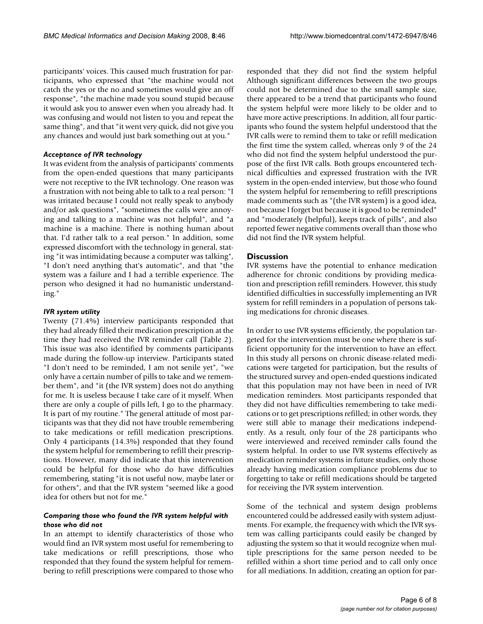participants' voices. This caused much frustration for participants, who expressed that "the machine would not catch the yes or the no and sometimes would give an off response", "the machine made you sound stupid because it would ask you to answer even when you already had. It was confusing and would not listen to you and repeat the same thing", and that "it went very quick, did not give you any chances and would just bark something out at you."

### *Acceptance of IVR technology*

It was evident from the analysis of participants' comments from the open-ended questions that many participants were not receptive to the IVR technology. One reason was a frustration with not being able to talk to a real person: "I was irritated because I could not really speak to anybody and/or ask questions", "sometimes the calls were annoying and talking to a machine was not helpful", and "a machine is a machine. There is nothing human about that. I'd rather talk to a real person." In addition, some expressed discomfort with the technology in general, stating "it was intimidating because a computer was talking", "I don't need anything that's automatic", and that "the system was a failure and I had a terrible experience. The person who designed it had no humanistic understanding."

### *IVR system utility*

Twenty (71.4%) interview participants responded that they had already filled their medication prescription at the time they had received the IVR reminder call (Table 2). This issue was also identified by comments participants made during the follow-up interview. Participants stated "I don't need to be reminded, I am not senile yet", "we only have a certain number of pills to take and we remember them", and "it (the IVR system) does not do anything for me. It is useless because I take care of it myself. When there are only a couple of pills left, I go to the pharmacy. It is part of my routine." The general attitude of most participants was that they did not have trouble remembering to take medications or refill medication prescriptions. Only 4 participants (14.3%) responded that they found the system helpful for remembering to refill their prescriptions. However, many did indicate that this intervention could be helpful for those who do have difficulties remembering, stating "it is not useful now, maybe later or for others", and that the IVR system "seemed like a good idea for others but not for me."

## *Comparing those who found the IVR system helpful with those who did not*

In an attempt to identify characteristics of those who would find an IVR system most useful for remembering to take medications or refill prescriptions, those who responded that they found the system helpful for remembering to refill prescriptions were compared to those who responded that they did not find the system helpful Although significant differences between the two groups could not be determined due to the small sample size, there appeared to be a trend that participants who found the system helpful were more likely to be older and to have more active prescriptions. In addition, all four participants who found the system helpful understood that the IVR calls were to remind them to take or refill medication the first time the system called, whereas only 9 of the 24 who did not find the system helpful understood the purpose of the first IVR calls. Both groups encountered technical difficulties and expressed frustration with the IVR system in the open-ended interview, but those who found the system helpful for remembering to refill prescriptions made comments such as "(the IVR system) is a good idea, not because I forget but because it is good to be reminded" and "moderately (helpful), keeps track of pills", and also reported fewer negative comments overall than those who did not find the IVR system helpful.

# **Discussion**

IVR systems have the potential to enhance medication adherence for chronic conditions by providing medication and prescription refill reminders. However, this study identified difficulties in successfully implementing an IVR system for refill reminders in a population of persons taking medications for chronic diseases.

In order to use IVR systems efficiently, the population targeted for the intervention must be one where there is sufficient opportunity for the intervention to have an effect. In this study all persons on chronic disease-related medications were targeted for participation, but the results of the structured survey and open-ended questions indicated that this population may not have been in need of IVR medication reminders. Most participants responded that they did not have difficulties remembering to take medications or to get prescriptions refilled; in other words, they were still able to manage their medications independently. As a result, only four of the 28 participants who were interviewed and received reminder calls found the system helpful. In order to use IVR systems effectively as medication reminder systems in future studies, only those already having medication compliance problems due to forgetting to take or refill medications should be targeted for receiving the IVR system intervention.

Some of the technical and system design problems encountered could be addressed easily with system adjustments. For example, the frequency with which the IVR system was calling participants could easily be changed by adjusting the system so that it would recognize when multiple prescriptions for the same person needed to be refilled within a short time period and to call only once for all mediations. In addition, creating an option for par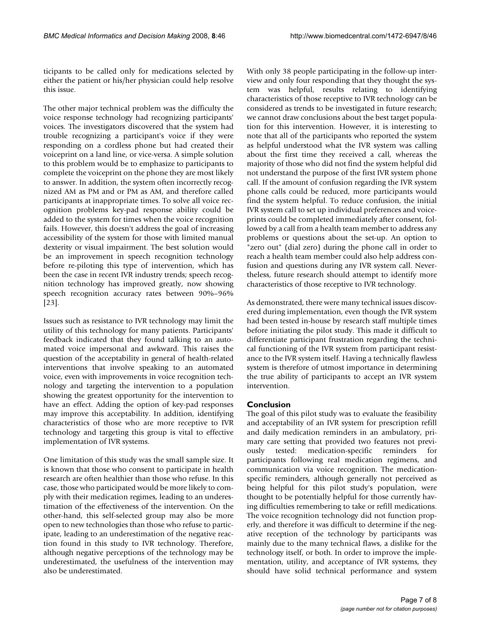ticipants to be called only for medications selected by either the patient or his/her physician could help resolve this issue.

The other major technical problem was the difficulty the voice response technology had recognizing participants' voices. The investigators discovered that the system had trouble recognizing a participant's voice if they were responding on a cordless phone but had created their voiceprint on a land line, or vice-versa. A simple solution to this problem would be to emphasize to participants to complete the voiceprint on the phone they are most likely to answer. In addition, the system often incorrectly recognized AM as PM and or PM as AM, and therefore called participants at inappropriate times. To solve all voice recognition problems key-pad response ability could be added to the system for times when the voice recognition fails. However, this doesn't address the goal of increasing accessibility of the system for those with limited manual dexterity or visual impairment. The best solution would be an improvement in speech recognition technology before re-piloting this type of intervention, which has been the case in recent IVR industry trends; speech recognition technology has improved greatly, now showing speech recognition accuracy rates between 90%–96% [23].

Issues such as resistance to IVR technology may limit the utility of this technology for many patients. Participants' feedback indicated that they found talking to an automated voice impersonal and awkward. This raises the question of the acceptability in general of health-related interventions that involve speaking to an automated voice, even with improvements in voice recognition technology and targeting the intervention to a population showing the greatest opportunity for the intervention to have an effect. Adding the option of key-pad responses may improve this acceptability. In addition, identifying characteristics of those who are more receptive to IVR technology and targeting this group is vital to effective implementation of IVR systems.

One limitation of this study was the small sample size. It is known that those who consent to participate in health research are often healthier than those who refuse. In this case, those who participated would be more likely to comply with their medication regimes, leading to an underestimation of the effectiveness of the intervention. On the other-hand, this self-selected group may also be more open to new technologies than those who refuse to participate, leading to an underestimation of the negative reaction found in this study to IVR technology. Therefore, although negative perceptions of the technology may be underestimated, the usefulness of the intervention may also be underestimated.

With only 38 people participating in the follow-up interview and only four responding that they thought the system was helpful, results relating to identifying characteristics of those receptive to IVR technology can be considered as trends to be investigated in future research; we cannot draw conclusions about the best target population for this intervention. However, it is interesting to note that all of the participants who reported the system as helpful understood what the IVR system was calling about the first time they received a call, whereas the majority of those who did not find the system helpful did not understand the purpose of the first IVR system phone call. If the amount of confusion regarding the IVR system phone calls could be reduced, more participants would find the system helpful. To reduce confusion, the initial IVR system call to set up individual preferences and voiceprints could be completed immediately after consent, followed by a call from a health team member to address any problems or questions about the set-up. An option to "zero out" (dial zero) during the phone call in order to reach a health team member could also help address confusion and questions during any IVR system call. Nevertheless, future research should attempt to identify more characteristics of those receptive to IVR technology.

As demonstrated, there were many technical issues discovered during implementation, even though the IVR system had been tested in-house by research staff multiple times before initiating the pilot study. This made it difficult to differentiate participant frustration regarding the technical functioning of the IVR system from participant resistance to the IVR system itself. Having a technically flawless system is therefore of utmost importance in determining the true ability of participants to accept an IVR system intervention.

# **Conclusion**

The goal of this pilot study was to evaluate the feasibility and acceptability of an IVR system for prescription refill and daily medication reminders in an ambulatory, primary care setting that provided two features not previously tested: medication-specific reminders for participants following real medication regimens, and communication via voice recognition. The medicationspecific reminders, although generally not perceived as being helpful for this pilot study's population, were thought to be potentially helpful for those currently having difficulties remembering to take or refill medications. The voice recognition technology did not function properly, and therefore it was difficult to determine if the negative reception of the technology by participants was mainly due to the many technical flaws, a dislike for the technology itself, or both. In order to improve the implementation, utility, and acceptance of IVR systems, they should have solid technical performance and system